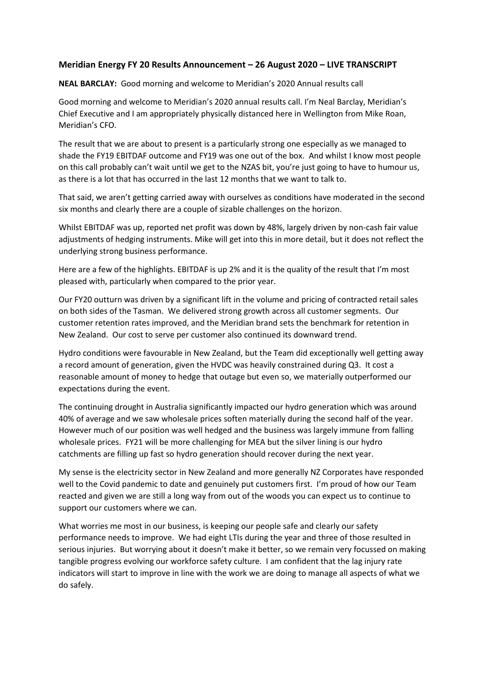# **Meridian Energy FY 20 Results Announcement – 26 August 2020 – LIVE TRANSCRIPT**

**NEAL BARCLAY:** Good morning and welcome to Meridian's 2020 Annual results call

Good morning and welcome to Meridian's 2020 annual results call. I'm Neal Barclay, Meridian's Chief Executive and I am appropriately physically distanced here in Wellington from Mike Roan, Meridian's CFO.

The result that we are about to present is a particularly strong one especially as we managed to shade the FY19 EBITDAF outcome and FY19 was one out of the box. And whilst I know most people on this call probably can't wait until we get to the NZAS bit, you're just going to have to humour us, as there is a lot that has occurred in the last 12 months that we want to talk to.

That said, we aren't getting carried away with ourselves as conditions have moderated in the second six months and clearly there are a couple of sizable challenges on the horizon.

Whilst EBITDAF was up, reported net profit was down by 48%, largely driven by non-cash fair value adjustments of hedging instruments. Mike will get into this in more detail, but it does not reflect the underlying strong business performance.

Here are a few of the highlights. EBITDAF is up 2% and it is the quality of the result that I'm most pleased with, particularly when compared to the prior year.

Our FY20 outturn was driven by a significant lift in the volume and pricing of contracted retail sales on both sides of the Tasman. We delivered strong growth across all customer segments. Our customer retention rates improved, and the Meridian brand sets the benchmark for retention in New Zealand. Our cost to serve per customer also continued its downward trend.

Hydro conditions were favourable in New Zealand, but the Team did exceptionally well getting away a record amount of generation, given the HVDC was heavily constrained during Q3. It cost a reasonable amount of money to hedge that outage but even so, we materially outperformed our expectations during the event.

The continuing drought in Australia significantly impacted our hydro generation which was around 40% of average and we saw wholesale prices soften materially during the second half of the year. However much of our position was well hedged and the business was largely immune from falling wholesale prices. FY21 will be more challenging for MEA but the silver lining is our hydro catchments are filling up fast so hydro generation should recover during the next year.

My sense is the electricity sector in New Zealand and more generally NZ Corporates have responded well to the Covid pandemic to date and genuinely put customers first. I'm proud of how our Team reacted and given we are still a long way from out of the woods you can expect us to continue to support our customers where we can.

What worries me most in our business, is keeping our people safe and clearly our safety performance needs to improve. We had eight LTIs during the year and three of those resulted in serious injuries. But worrying about it doesn't make it better, so we remain very focussed on making tangible progress evolving our workforce safety culture. I am confident that the lag injury rate indicators will start to improve in line with the work we are doing to manage all aspects of what we do safely.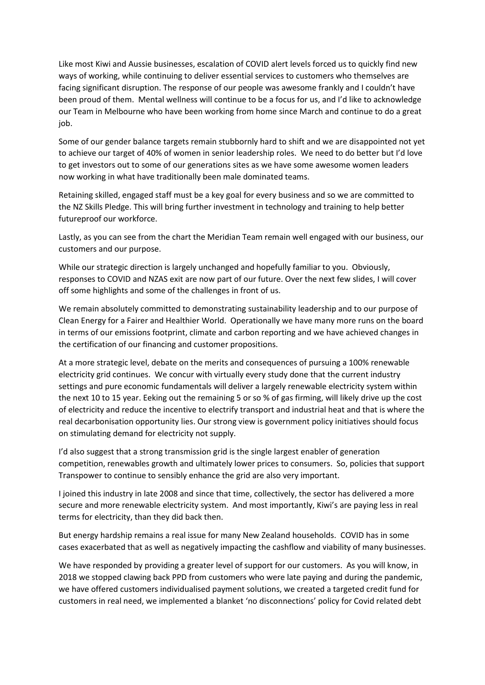Like most Kiwi and Aussie businesses, escalation of COVID alert levels forced us to quickly find new ways of working, while continuing to deliver essential services to customers who themselves are facing significant disruption. The response of our people was awesome frankly and I couldn't have been proud of them. Mental wellness will continue to be a focus for us, and I'd like to acknowledge our Team in Melbourne who have been working from home since March and continue to do a great job.

Some of our gender balance targets remain stubbornly hard to shift and we are disappointed not yet to achieve our target of 40% of women in senior leadership roles. We need to do better but I'd love to get investors out to some of our generations sites as we have some awesome women leaders now working in what have traditionally been male dominated teams.

Retaining skilled, engaged staff must be a key goal for every business and so we are committed to the NZ Skills Pledge. This will bring further investment in technology and training to help better futureproof our workforce.

Lastly, as you can see from the chart the Meridian Team remain well engaged with our business, our customers and our purpose.

While our strategic direction is largely unchanged and hopefully familiar to you. Obviously, responses to COVID and NZAS exit are now part of our future. Over the next few slides, I will cover off some highlights and some of the challenges in front of us.

We remain absolutely committed to demonstrating sustainability leadership and to our purpose of Clean Energy for a Fairer and Healthier World. Operationally we have many more runs on the board in terms of our emissions footprint, climate and carbon reporting and we have achieved changes in the certification of our financing and customer propositions.

At a more strategic level, debate on the merits and consequences of pursuing a 100% renewable electricity grid continues. We concur with virtually every study done that the current industry settings and pure economic fundamentals will deliver a largely renewable electricity system within the next 10 to 15 year. Eeking out the remaining 5 or so % of gas firming, will likely drive up the cost of electricity and reduce the incentive to electrify transport and industrial heat and that is where the real decarbonisation opportunity lies. Our strong view is government policy initiatives should focus on stimulating demand for electricity not supply.

I'd also suggest that a strong transmission grid is the single largest enabler of generation competition, renewables growth and ultimately lower prices to consumers. So, policies that support Transpower to continue to sensibly enhance the grid are also very important.

I joined this industry in late 2008 and since that time, collectively, the sector has delivered a more secure and more renewable electricity system. And most importantly, Kiwi's are paying less in real terms for electricity, than they did back then.

But energy hardship remains a real issue for many New Zealand households. COVID has in some cases exacerbated that as well as negatively impacting the cashflow and viability of many businesses.

We have responded by providing a greater level of support for our customers. As you will know, in 2018 we stopped clawing back PPD from customers who were late paying and during the pandemic, we have offered customers individualised payment solutions, we created a targeted credit fund for customers in real need, we implemented a blanket 'no disconnections' policy for Covid related debt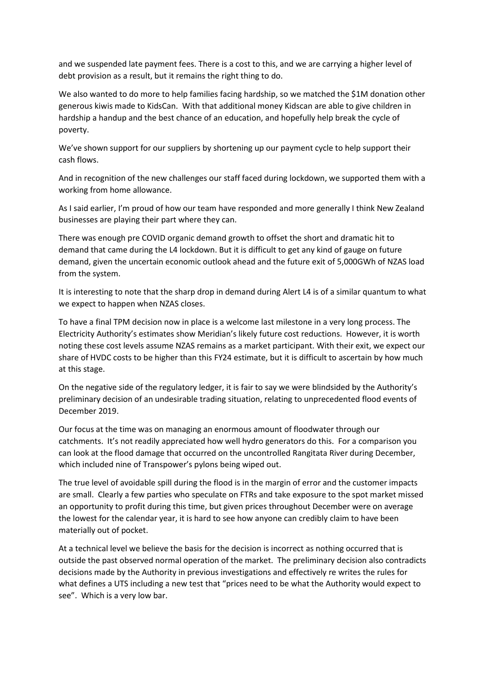and we suspended late payment fees. There is a cost to this, and we are carrying a higher level of debt provision as a result, but it remains the right thing to do.

We also wanted to do more to help families facing hardship, so we matched the \$1M donation other generous kiwis made to KidsCan. With that additional money Kidscan are able to give children in hardship a handup and the best chance of an education, and hopefully help break the cycle of poverty.

We've shown support for our suppliers by shortening up our payment cycle to help support their cash flows.

And in recognition of the new challenges our staff faced during lockdown, we supported them with a working from home allowance.

As I said earlier, I'm proud of how our team have responded and more generally I think New Zealand businesses are playing their part where they can.

There was enough pre COVID organic demand growth to offset the short and dramatic hit to demand that came during the L4 lockdown. But it is difficult to get any kind of gauge on future demand, given the uncertain economic outlook ahead and the future exit of 5,000GWh of NZAS load from the system.

It is interesting to note that the sharp drop in demand during Alert L4 is of a similar quantum to what we expect to happen when NZAS closes.

To have a final TPM decision now in place is a welcome last milestone in a very long process. The Electricity Authority's estimates show Meridian's likely future cost reductions. However, it is worth noting these cost levels assume NZAS remains as a market participant. With their exit, we expect our share of HVDC costs to be higher than this FY24 estimate, but it is difficult to ascertain by how much at this stage.

On the negative side of the regulatory ledger, it is fair to say we were blindsided by the Authority's preliminary decision of an undesirable trading situation, relating to unprecedented flood events of December 2019.

Our focus at the time was on managing an enormous amount of floodwater through our catchments. It's not readily appreciated how well hydro generators do this. For a comparison you can look at the flood damage that occurred on the uncontrolled Rangitata River during December, which included nine of Transpower's pylons being wiped out.

The true level of avoidable spill during the flood is in the margin of error and the customer impacts are small. Clearly a few parties who speculate on FTRs and take exposure to the spot market missed an opportunity to profit during this time, but given prices throughout December were on average the lowest for the calendar year, it is hard to see how anyone can credibly claim to have been materially out of pocket.

At a technical level we believe the basis for the decision is incorrect as nothing occurred that is outside the past observed normal operation of the market. The preliminary decision also contradicts decisions made by the Authority in previous investigations and effectively re writes the rules for what defines a UTS including a new test that "prices need to be what the Authority would expect to see". Which is a very low bar.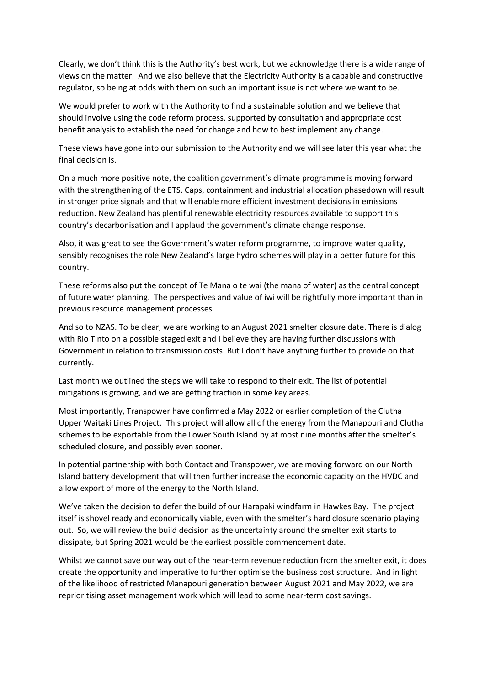Clearly, we don't think this is the Authority's best work, but we acknowledge there is a wide range of views on the matter. And we also believe that the Electricity Authority is a capable and constructive regulator, so being at odds with them on such an important issue is not where we want to be.

We would prefer to work with the Authority to find a sustainable solution and we believe that should involve using the code reform process, supported by consultation and appropriate cost benefit analysis to establish the need for change and how to best implement any change.

These views have gone into our submission to the Authority and we will see later this year what the final decision is.

On a much more positive note, the coalition government's climate programme is moving forward with the strengthening of the ETS. Caps, containment and industrial allocation phasedown will result in stronger price signals and that will enable more efficient investment decisions in emissions reduction. New Zealand has plentiful renewable electricity resources available to support this country's decarbonisation and I applaud the government's climate change response.

Also, it was great to see the Government's water reform programme, to improve water quality, sensibly recognises the role New Zealand's large hydro schemes will play in a better future for this country.

These reforms also put the concept of Te Mana o te wai (the mana of water) as the central concept of future water planning. The perspectives and value of iwi will be rightfully more important than in previous resource management processes.

And so to NZAS. To be clear, we are working to an August 2021 smelter closure date. There is dialog with Rio Tinto on a possible staged exit and I believe they are having further discussions with Government in relation to transmission costs. But I don't have anything further to provide on that currently.

Last month we outlined the steps we will take to respond to their exit. The list of potential mitigations is growing, and we are getting traction in some key areas.

Most importantly, Transpower have confirmed a May 2022 or earlier completion of the Clutha Upper Waitaki Lines Project. This project will allow all of the energy from the Manapouri and Clutha schemes to be exportable from the Lower South Island by at most nine months after the smelter's scheduled closure, and possibly even sooner.

In potential partnership with both Contact and Transpower, we are moving forward on our North Island battery development that will then further increase the economic capacity on the HVDC and allow export of more of the energy to the North Island.

We've taken the decision to defer the build of our Harapaki windfarm in Hawkes Bay. The project itself is shovel ready and economically viable, even with the smelter's hard closure scenario playing out. So, we will review the build decision as the uncertainty around the smelter exit starts to dissipate, but Spring 2021 would be the earliest possible commencement date.

Whilst we cannot save our way out of the near-term revenue reduction from the smelter exit, it does create the opportunity and imperative to further optimise the business cost structure. And in light of the likelihood of restricted Manapouri generation between August 2021 and May 2022, we are reprioritising asset management work which will lead to some near-term cost savings.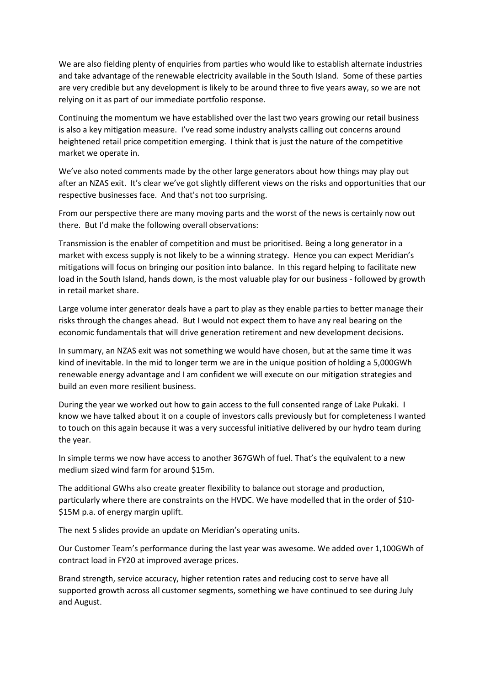We are also fielding plenty of enquiries from parties who would like to establish alternate industries and take advantage of the renewable electricity available in the South Island. Some of these parties are very credible but any development is likely to be around three to five years away, so we are not relying on it as part of our immediate portfolio response.

Continuing the momentum we have established over the last two years growing our retail business is also a key mitigation measure. I've read some industry analysts calling out concerns around heightened retail price competition emerging. I think that is just the nature of the competitive market we operate in.

We've also noted comments made by the other large generators about how things may play out after an NZAS exit. It's clear we've got slightly different views on the risks and opportunities that our respective businesses face. And that's not too surprising.

From our perspective there are many moving parts and the worst of the news is certainly now out there. But I'd make the following overall observations:

Transmission is the enabler of competition and must be prioritised. Being a long generator in a market with excess supply is not likely to be a winning strategy. Hence you can expect Meridian's mitigations will focus on bringing our position into balance. In this regard helping to facilitate new load in the South Island, hands down, is the most valuable play for our business - followed by growth in retail market share.

Large volume inter generator deals have a part to play as they enable parties to better manage their risks through the changes ahead. But I would not expect them to have any real bearing on the economic fundamentals that will drive generation retirement and new development decisions.

In summary, an NZAS exit was not something we would have chosen, but at the same time it was kind of inevitable. In the mid to longer term we are in the unique position of holding a 5,000GWh renewable energy advantage and I am confident we will execute on our mitigation strategies and build an even more resilient business.

During the year we worked out how to gain access to the full consented range of Lake Pukaki. I know we have talked about it on a couple of investors calls previously but for completeness I wanted to touch on this again because it was a very successful initiative delivered by our hydro team during the year.

In simple terms we now have access to another 367GWh of fuel. That's the equivalent to a new medium sized wind farm for around \$15m.

The additional GWhs also create greater flexibility to balance out storage and production, particularly where there are constraints on the HVDC. We have modelled that in the order of \$10- \$15M p.a. of energy margin uplift.

The next 5 slides provide an update on Meridian's operating units.

Our Customer Team's performance during the last year was awesome. We added over 1,100GWh of contract load in FY20 at improved average prices.

Brand strength, service accuracy, higher retention rates and reducing cost to serve have all supported growth across all customer segments, something we have continued to see during July and August.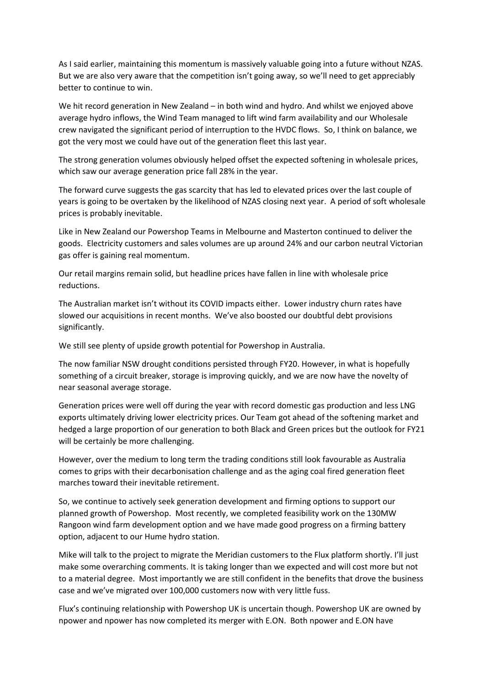As I said earlier, maintaining this momentum is massively valuable going into a future without NZAS. But we are also very aware that the competition isn't going away, so we'll need to get appreciably better to continue to win.

We hit record generation in New Zealand – in both wind and hydro. And whilst we enjoyed above average hydro inflows, the Wind Team managed to lift wind farm availability and our Wholesale crew navigated the significant period of interruption to the HVDC flows. So, I think on balance, we got the very most we could have out of the generation fleet this last year.

The strong generation volumes obviously helped offset the expected softening in wholesale prices, which saw our average generation price fall 28% in the year.

The forward curve suggests the gas scarcity that has led to elevated prices over the last couple of years is going to be overtaken by the likelihood of NZAS closing next year. A period of soft wholesale prices is probably inevitable.

Like in New Zealand our Powershop Teams in Melbourne and Masterton continued to deliver the goods. Electricity customers and sales volumes are up around 24% and our carbon neutral Victorian gas offer is gaining real momentum.

Our retail margins remain solid, but headline prices have fallen in line with wholesale price reductions.

The Australian market isn't without its COVID impacts either. Lower industry churn rates have slowed our acquisitions in recent months. We've also boosted our doubtful debt provisions significantly.

We still see plenty of upside growth potential for Powershop in Australia.

The now familiar NSW drought conditions persisted through FY20. However, in what is hopefully something of a circuit breaker, storage is improving quickly, and we are now have the novelty of near seasonal average storage.

Generation prices were well off during the year with record domestic gas production and less LNG exports ultimately driving lower electricity prices. Our Team got ahead of the softening market and hedged a large proportion of our generation to both Black and Green prices but the outlook for FY21 will be certainly be more challenging.

However, over the medium to long term the trading conditions still look favourable as Australia comes to grips with their decarbonisation challenge and as the aging coal fired generation fleet marches toward their inevitable retirement.

So, we continue to actively seek generation development and firming options to support our planned growth of Powershop. Most recently, we completed feasibility work on the 130MW Rangoon wind farm development option and we have made good progress on a firming battery option, adjacent to our Hume hydro station.

Mike will talk to the project to migrate the Meridian customers to the Flux platform shortly. I'll just make some overarching comments. It is taking longer than we expected and will cost more but not to a material degree. Most importantly we are still confident in the benefits that drove the business case and we've migrated over 100,000 customers now with very little fuss.

Flux's continuing relationship with Powershop UK is uncertain though. Powershop UK are owned by npower and npower has now completed its merger with E.ON. Both npower and E.ON have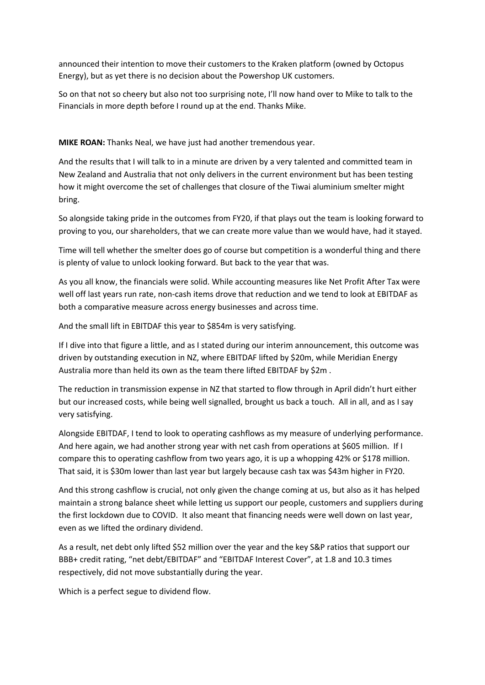announced their intention to move their customers to the Kraken platform (owned by Octopus Energy), but as yet there is no decision about the Powershop UK customers.

So on that not so cheery but also not too surprising note, I'll now hand over to Mike to talk to the Financials in more depth before I round up at the end. Thanks Mike.

**MIKE ROAN:** Thanks Neal, we have just had another tremendous year.

And the results that I will talk to in a minute are driven by a very talented and committed team in New Zealand and Australia that not only delivers in the current environment but has been testing how it might overcome the set of challenges that closure of the Tiwai aluminium smelter might bring.

So alongside taking pride in the outcomes from FY20, if that plays out the team is looking forward to proving to you, our shareholders, that we can create more value than we would have, had it stayed.

Time will tell whether the smelter does go of course but competition is a wonderful thing and there is plenty of value to unlock looking forward. But back to the year that was.

As you all know, the financials were solid. While accounting measures like Net Profit After Tax were well off last years run rate, non-cash items drove that reduction and we tend to look at EBITDAF as both a comparative measure across energy businesses and across time.

And the small lift in EBITDAF this year to \$854m is very satisfying.

If I dive into that figure a little, and as I stated during our interim announcement, this outcome was driven by outstanding execution in NZ, where EBITDAF lifted by \$20m, while Meridian Energy Australia more than held its own as the team there lifted EBITDAF by \$2m .

The reduction in transmission expense in NZ that started to flow through in April didn't hurt either but our increased costs, while being well signalled, brought us back a touch. All in all, and as I say very satisfying.

Alongside EBITDAF, I tend to look to operating cashflows as my measure of underlying performance. And here again, we had another strong year with net cash from operations at \$605 million. If I compare this to operating cashflow from two years ago, it is up a whopping 42% or \$178 million. That said, it is \$30m lower than last year but largely because cash tax was \$43m higher in FY20.

And this strong cashflow is crucial, not only given the change coming at us, but also as it has helped maintain a strong balance sheet while letting us support our people, customers and suppliers during the first lockdown due to COVID. It also meant that financing needs were well down on last year, even as we lifted the ordinary dividend.

As a result, net debt only lifted \$52 million over the year and the key S&P ratios that support our BBB+ credit rating, "net debt/EBITDAF" and "EBITDAF Interest Cover", at 1.8 and 10.3 times respectively, did not move substantially during the year.

Which is a perfect segue to dividend flow.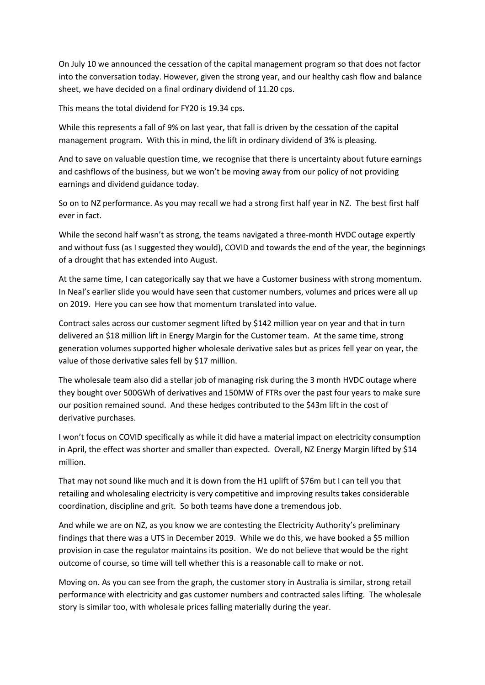On July 10 we announced the cessation of the capital management program so that does not factor into the conversation today. However, given the strong year, and our healthy cash flow and balance sheet, we have decided on a final ordinary dividend of 11.20 cps.

This means the total dividend for FY20 is 19.34 cps.

While this represents a fall of 9% on last year, that fall is driven by the cessation of the capital management program. With this in mind, the lift in ordinary dividend of 3% is pleasing.

And to save on valuable question time, we recognise that there is uncertainty about future earnings and cashflows of the business, but we won't be moving away from our policy of not providing earnings and dividend guidance today.

So on to NZ performance. As you may recall we had a strong first half year in NZ. The best first half ever in fact.

While the second half wasn't as strong, the teams navigated a three-month HVDC outage expertly and without fuss (as I suggested they would), COVID and towards the end of the year, the beginnings of a drought that has extended into August.

At the same time, I can categorically say that we have a Customer business with strong momentum. In Neal's earlier slide you would have seen that customer numbers, volumes and prices were all up on 2019. Here you can see how that momentum translated into value.

Contract sales across our customer segment lifted by \$142 million year on year and that in turn delivered an \$18 million lift in Energy Margin for the Customer team. At the same time, strong generation volumes supported higher wholesale derivative sales but as prices fell year on year, the value of those derivative sales fell by \$17 million.

The wholesale team also did a stellar job of managing risk during the 3 month HVDC outage where they bought over 500GWh of derivatives and 150MW of FTRs over the past four years to make sure our position remained sound. And these hedges contributed to the \$43m lift in the cost of derivative purchases.

I won't focus on COVID specifically as while it did have a material impact on electricity consumption in April, the effect was shorter and smaller than expected. Overall, NZ Energy Margin lifted by \$14 million.

That may not sound like much and it is down from the H1 uplift of \$76m but I can tell you that retailing and wholesaling electricity is very competitive and improving results takes considerable coordination, discipline and grit. So both teams have done a tremendous job.

And while we are on NZ, as you know we are contesting the Electricity Authority's preliminary findings that there was a UTS in December 2019. While we do this, we have booked a \$5 million provision in case the regulator maintains its position. We do not believe that would be the right outcome of course, so time will tell whether this is a reasonable call to make or not.

Moving on. As you can see from the graph, the customer story in Australia is similar, strong retail performance with electricity and gas customer numbers and contracted sales lifting. The wholesale story is similar too, with wholesale prices falling materially during the year.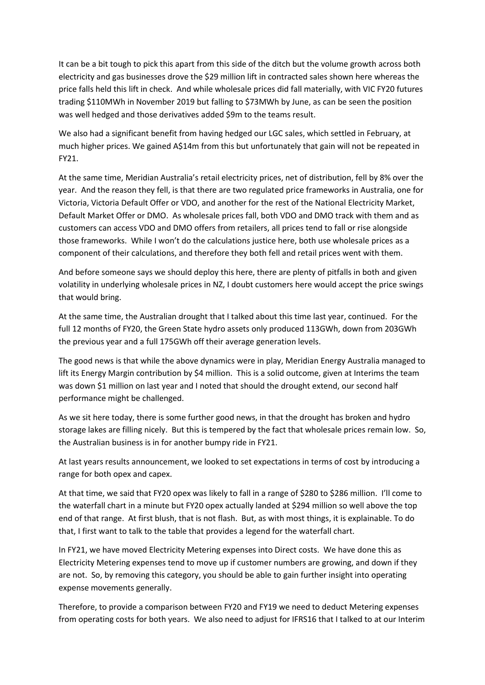It can be a bit tough to pick this apart from this side of the ditch but the volume growth across both electricity and gas businesses drove the \$29 million lift in contracted sales shown here whereas the price falls held this lift in check. And while wholesale prices did fall materially, with VIC FY20 futures trading \$110MWh in November 2019 but falling to \$73MWh by June, as can be seen the position was well hedged and those derivatives added \$9m to the teams result.

We also had a significant benefit from having hedged our LGC sales, which settled in February, at much higher prices. We gained A\$14m from this but unfortunately that gain will not be repeated in FY21.

At the same time, Meridian Australia's retail electricity prices, net of distribution, fell by 8% over the year. And the reason they fell, is that there are two regulated price frameworks in Australia, one for Victoria, Victoria Default Offer or VDO, and another for the rest of the National Electricity Market, Default Market Offer or DMO. As wholesale prices fall, both VDO and DMO track with them and as customers can access VDO and DMO offers from retailers, all prices tend to fall or rise alongside those frameworks. While I won't do the calculations justice here, both use wholesale prices as a component of their calculations, and therefore they both fell and retail prices went with them.

And before someone says we should deploy this here, there are plenty of pitfalls in both and given volatility in underlying wholesale prices in NZ, I doubt customers here would accept the price swings that would bring.

At the same time, the Australian drought that I talked about this time last year, continued. For the full 12 months of FY20, the Green State hydro assets only produced 113GWh, down from 203GWh the previous year and a full 175GWh off their average generation levels.

The good news is that while the above dynamics were in play, Meridian Energy Australia managed to lift its Energy Margin contribution by \$4 million. This is a solid outcome, given at Interims the team was down \$1 million on last year and I noted that should the drought extend, our second half performance might be challenged.

As we sit here today, there is some further good news, in that the drought has broken and hydro storage lakes are filling nicely. But this is tempered by the fact that wholesale prices remain low. So, the Australian business is in for another bumpy ride in FY21.

At last years results announcement, we looked to set expectations in terms of cost by introducing a range for both opex and capex.

At that time, we said that FY20 opex was likely to fall in a range of \$280 to \$286 million. I'll come to the waterfall chart in a minute but FY20 opex actually landed at \$294 million so well above the top end of that range. At first blush, that is not flash. But, as with most things, it is explainable. To do that, I first want to talk to the table that provides a legend for the waterfall chart.

In FY21, we have moved Electricity Metering expenses into Direct costs. We have done this as Electricity Metering expenses tend to move up if customer numbers are growing, and down if they are not. So, by removing this category, you should be able to gain further insight into operating expense movements generally.

Therefore, to provide a comparison between FY20 and FY19 we need to deduct Metering expenses from operating costs for both years. We also need to adjust for IFRS16 that I talked to at our Interim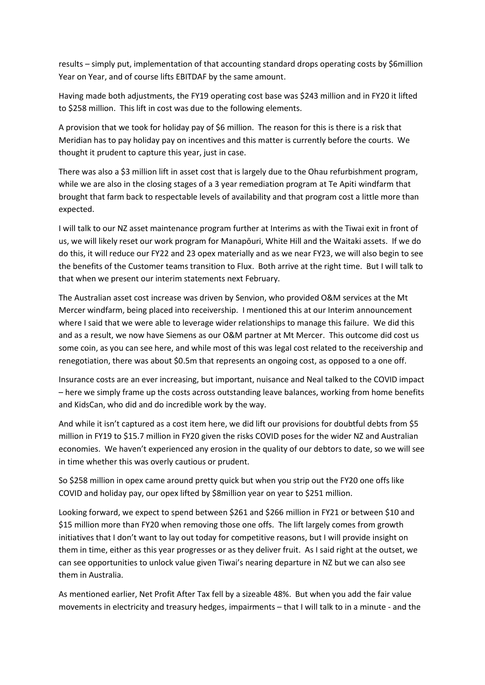results – simply put, implementation of that accounting standard drops operating costs by \$6million Year on Year, and of course lifts EBITDAF by the same amount.

Having made both adjustments, the FY19 operating cost base was \$243 million and in FY20 it lifted to \$258 million. This lift in cost was due to the following elements.

A provision that we took for holiday pay of \$6 million. The reason for this is there is a risk that Meridian has to pay holiday pay on incentives and this matter is currently before the courts. We thought it prudent to capture this year, just in case.

There was also a \$3 million lift in asset cost that is largely due to the Ohau refurbishment program, while we are also in the closing stages of a 3 year remediation program at Te Apiti windfarm that brought that farm back to respectable levels of availability and that program cost a little more than expected.

I will talk to our NZ asset maintenance program further at Interims as with the Tiwai exit in front of us, we will likely reset our work program for Manapōuri, White Hill and the Waitaki assets. If we do do this, it will reduce our FY22 and 23 opex materially and as we near FY23, we will also begin to see the benefits of the Customer teams transition to Flux. Both arrive at the right time. But I will talk to that when we present our interim statements next February.

The Australian asset cost increase was driven by Senvion, who provided O&M services at the Mt Mercer windfarm, being placed into receivership. I mentioned this at our Interim announcement where I said that we were able to leverage wider relationships to manage this failure. We did this and as a result, we now have Siemens as our O&M partner at Mt Mercer. This outcome did cost us some coin, as you can see here, and while most of this was legal cost related to the receivership and renegotiation, there was about \$0.5m that represents an ongoing cost, as opposed to a one off.

Insurance costs are an ever increasing, but important, nuisance and Neal talked to the COVID impact – here we simply frame up the costs across outstanding leave balances, working from home benefits and KidsCan, who did and do incredible work by the way.

And while it isn't captured as a cost item here, we did lift our provisions for doubtful debts from \$5 million in FY19 to \$15.7 million in FY20 given the risks COVID poses for the wider NZ and Australian economies. We haven't experienced any erosion in the quality of our debtors to date, so we will see in time whether this was overly cautious or prudent.

So \$258 million in opex came around pretty quick but when you strip out the FY20 one offs like COVID and holiday pay, our opex lifted by \$8million year on year to \$251 million.

Looking forward, we expect to spend between \$261 and \$266 million in FY21 or between \$10 and \$15 million more than FY20 when removing those one offs. The lift largely comes from growth initiatives that I don't want to lay out today for competitive reasons, but I will provide insight on them in time, either as this year progresses or as they deliver fruit. As I said right at the outset, we can see opportunities to unlock value given Tiwai's nearing departure in NZ but we can also see them in Australia.

As mentioned earlier, Net Profit After Tax fell by a sizeable 48%. But when you add the fair value movements in electricity and treasury hedges, impairments – that I will talk to in a minute - and the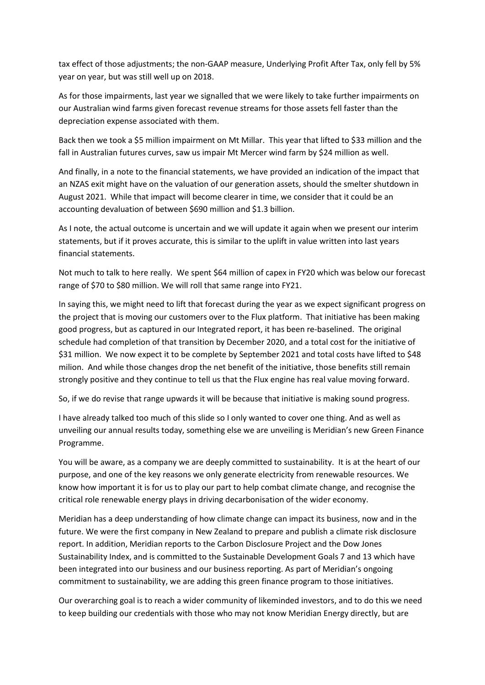tax effect of those adjustments; the non-GAAP measure, Underlying Profit After Tax, only fell by 5% year on year, but was still well up on 2018.

As for those impairments, last year we signalled that we were likely to take further impairments on our Australian wind farms given forecast revenue streams for those assets fell faster than the depreciation expense associated with them.

Back then we took a \$5 million impairment on Mt Millar. This year that lifted to \$33 million and the fall in Australian futures curves, saw us impair Mt Mercer wind farm by \$24 million as well.

And finally, in a note to the financial statements, we have provided an indication of the impact that an NZAS exit might have on the valuation of our generation assets, should the smelter shutdown in August 2021. While that impact will become clearer in time, we consider that it could be an accounting devaluation of between \$690 million and \$1.3 billion.

As I note, the actual outcome is uncertain and we will update it again when we present our interim statements, but if it proves accurate, this is similar to the uplift in value written into last years financial statements.

Not much to talk to here really. We spent \$64 million of capex in FY20 which was below our forecast range of \$70 to \$80 million. We will roll that same range into FY21.

In saying this, we might need to lift that forecast during the year as we expect significant progress on the project that is moving our customers over to the Flux platform. That initiative has been making good progress, but as captured in our Integrated report, it has been re-baselined. The original schedule had completion of that transition by December 2020, and a total cost for the initiative of \$31 million. We now expect it to be complete by September 2021 and total costs have lifted to \$48 milion. And while those changes drop the net benefit of the initiative, those benefits still remain strongly positive and they continue to tell us that the Flux engine has real value moving forward.

So, if we do revise that range upwards it will be because that initiative is making sound progress.

I have already talked too much of this slide so I only wanted to cover one thing. And as well as unveiling our annual results today, something else we are unveiling is Meridian's new Green Finance Programme.

You will be aware, as a company we are deeply committed to sustainability. It is at the heart of our purpose, and one of the key reasons we only generate electricity from renewable resources. We know how important it is for us to play our part to help combat climate change, and recognise the critical role renewable energy plays in driving decarbonisation of the wider economy.

Meridian has a deep understanding of how climate change can impact its business, now and in the future. We were the first company in New Zealand to prepare and publish a climate risk disclosure report. In addition, Meridian reports to the Carbon Disclosure Project and the Dow Jones Sustainability Index, and is committed to the Sustainable Development Goals 7 and 13 which have been integrated into our business and our business reporting. As part of Meridian's ongoing commitment to sustainability, we are adding this green finance program to those initiatives.

Our overarching goal is to reach a wider community of likeminded investors, and to do this we need to keep building our credentials with those who may not know Meridian Energy directly, but are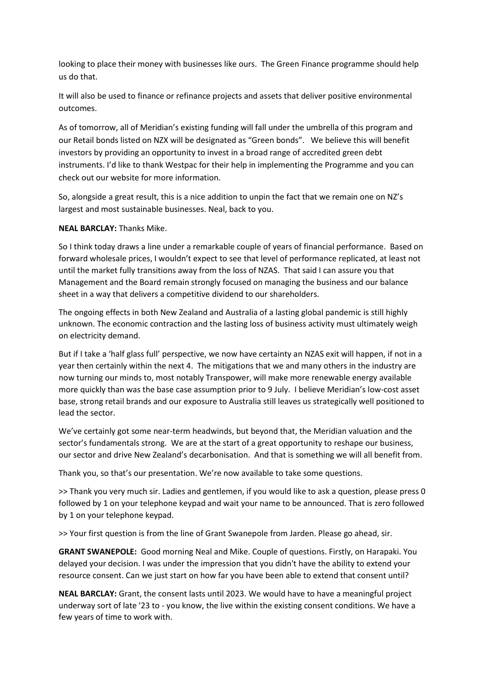looking to place their money with businesses like ours. The Green Finance programme should help us do that.

It will also be used to finance or refinance projects and assets that deliver positive environmental outcomes.

As of tomorrow, all of Meridian's existing funding will fall under the umbrella of this program and our Retail bonds listed on NZX will be designated as "Green bonds". We believe this will benefit investors by providing an opportunity to invest in a broad range of accredited green debt instruments. I'd like to thank Westpac for their help in implementing the Programme and you can check out our website for more information.

So, alongside a great result, this is a nice addition to unpin the fact that we remain one on NZ's largest and most sustainable businesses. Neal, back to you.

## **NEAL BARCLAY:** Thanks Mike.

So I think today draws a line under a remarkable couple of years of financial performance. Based on forward wholesale prices, I wouldn't expect to see that level of performance replicated, at least not until the market fully transitions away from the loss of NZAS. That said I can assure you that Management and the Board remain strongly focused on managing the business and our balance sheet in a way that delivers a competitive dividend to our shareholders.

The ongoing effects in both New Zealand and Australia of a lasting global pandemic is still highly unknown. The economic contraction and the lasting loss of business activity must ultimately weigh on electricity demand.

But if I take a 'half glass full' perspective, we now have certainty an NZAS exit will happen, if not in a year then certainly within the next 4. The mitigations that we and many others in the industry are now turning our minds to, most notably Transpower, will make more renewable energy available more quickly than was the base case assumption prior to 9 July. I believe Meridian's low-cost asset base, strong retail brands and our exposure to Australia still leaves us strategically well positioned to lead the sector.

We've certainly got some near-term headwinds, but beyond that, the Meridian valuation and the sector's fundamentals strong. We are at the start of a great opportunity to reshape our business, our sector and drive New Zealand's decarbonisation. And that is something we will all benefit from.

Thank you, so that's our presentation. We're now available to take some questions.

>> Thank you very much sir. Ladies and gentlemen, if you would like to ask a question, please press 0 followed by 1 on your telephone keypad and wait your name to be announced. That is zero followed by 1 on your telephone keypad.

>> Your first question is from the line of Grant Swanepole from Jarden. Please go ahead, sir.

**GRANT SWANEPOLE:** Good morning Neal and Mike. Couple of questions. Firstly, on Harapaki. You delayed your decision. I was under the impression that you didn't have the ability to extend your resource consent. Can we just start on how far you have been able to extend that consent until?

**NEAL BARCLAY:** Grant, the consent lasts until 2023. We would have to have a meaningful project underway sort of late '23 to - you know, the live within the existing consent conditions. We have a few years of time to work with.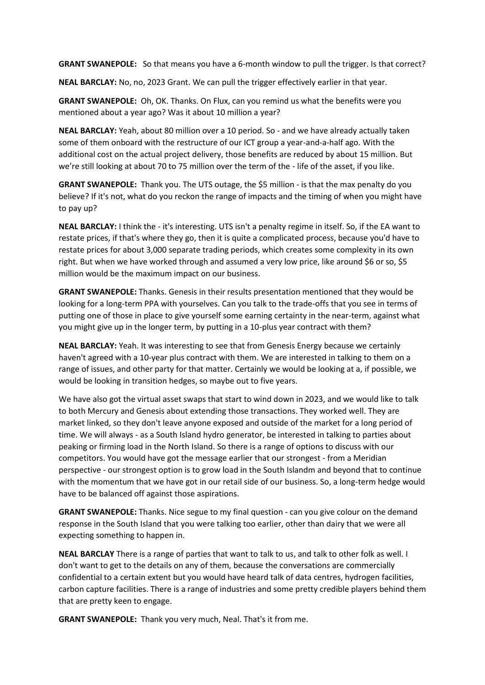**GRANT SWANEPOLE:** So that means you have a 6-month window to pull the trigger. Is that correct?

**NEAL BARCLAY:** No, no, 2023 Grant. We can pull the trigger effectively earlier in that year.

**GRANT SWANEPOLE:** Oh, OK. Thanks. On Flux, can you remind us what the benefits were you mentioned about a year ago? Was it about 10 million a year?

**NEAL BARCLAY:** Yeah, about 80 million over a 10 period. So - and we have already actually taken some of them onboard with the restructure of our ICT group a year-and-a-half ago. With the additional cost on the actual project delivery, those benefits are reduced by about 15 million. But we're still looking at about 70 to 75 million over the term of the - life of the asset, if you like.

**GRANT SWANEPOLE:** Thank you. The UTS outage, the \$5 million - is that the max penalty do you believe? If it's not, what do you reckon the range of impacts and the timing of when you might have to pay up?

**NEAL BARCLAY:** I think the - it's interesting. UTS isn't a penalty regime in itself. So, if the EA want to restate prices, if that's where they go, then it is quite a complicated process, because you'd have to restate prices for about 3,000 separate trading periods, which creates some complexity in its own right. But when we have worked through and assumed a very low price, like around \$6 or so, \$5 million would be the maximum impact on our business.

**GRANT SWANEPOLE:** Thanks. Genesis in their results presentation mentioned that they would be looking for a long-term PPA with yourselves. Can you talk to the trade-offs that you see in terms of putting one of those in place to give yourself some earning certainty in the near-term, against what you might give up in the longer term, by putting in a 10-plus year contract with them?

**NEAL BARCLAY:** Yeah. It was interesting to see that from Genesis Energy because we certainly haven't agreed with a 10-year plus contract with them. We are interested in talking to them on a range of issues, and other party for that matter. Certainly we would be looking at a, if possible, we would be looking in transition hedges, so maybe out to five years.

We have also got the virtual asset swaps that start to wind down in 2023, and we would like to talk to both Mercury and Genesis about extending those transactions. They worked well. They are market linked, so they don't leave anyone exposed and outside of the market for a long period of time. We will always - as a South Island hydro generator, be interested in talking to parties about peaking or firming load in the North Island. So there is a range of options to discuss with our competitors. You would have got the message earlier that our strongest - from a Meridian perspective - our strongest option is to grow load in the South Islandm and beyond that to continue with the momentum that we have got in our retail side of our business. So, a long-term hedge would have to be balanced off against those aspirations.

**GRANT SWANEPOLE:** Thanks. Nice segue to my final question - can you give colour on the demand response in the South Island that you were talking too earlier, other than dairy that we were all expecting something to happen in.

**NEAL BARCLAY** There is a range of parties that want to talk to us, and talk to other folk as well. I don't want to get to the details on any of them, because the conversations are commercially confidential to a certain extent but you would have heard talk of data centres, hydrogen facilities, carbon capture facilities. There is a range of industries and some pretty credible players behind them that are pretty keen to engage.

**GRANT SWANEPOLE:** Thank you very much, Neal. That's it from me.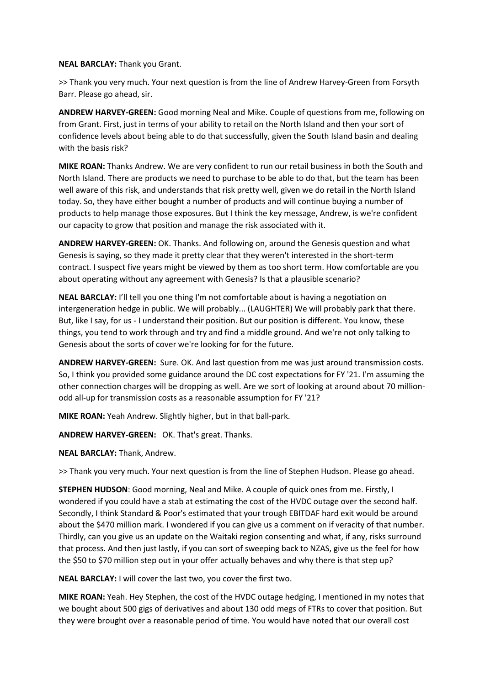#### **NEAL BARCLAY:** Thank you Grant.

>> Thank you very much. Your next question is from the line of Andrew Harvey-Green from Forsyth Barr. Please go ahead, sir.

**ANDREW HARVEY-GREEN:** Good morning Neal and Mike. Couple of questions from me, following on from Grant. First, just in terms of your ability to retail on the North Island and then your sort of confidence levels about being able to do that successfully, given the South Island basin and dealing with the basis risk?

**MIKE ROAN:** Thanks Andrew. We are very confident to run our retail business in both the South and North Island. There are products we need to purchase to be able to do that, but the team has been well aware of this risk, and understands that risk pretty well, given we do retail in the North Island today. So, they have either bought a number of products and will continue buying a number of products to help manage those exposures. But I think the key message, Andrew, is we're confident our capacity to grow that position and manage the risk associated with it.

**ANDREW HARVEY-GREEN:** OK. Thanks. And following on, around the Genesis question and what Genesis is saying, so they made it pretty clear that they weren't interested in the short-term contract. I suspect five years might be viewed by them as too short term. How comfortable are you about operating without any agreement with Genesis? Is that a plausible scenario?

**NEAL BARCLAY:** I'll tell you one thing I'm not comfortable about is having a negotiation on intergeneration hedge in public. We will probably... (LAUGHTER) We will probably park that there. But, like I say, for us - I understand their position. But our position is different. You know, these things, you tend to work through and try and find a middle ground. And we're not only talking to Genesis about the sorts of cover we're looking for for the future.

**ANDREW HARVEY-GREEN:** Sure. OK. And last question from me was just around transmission costs. So, I think you provided some guidance around the DC cost expectations for FY '21. I'm assuming the other connection charges will be dropping as well. Are we sort of looking at around about 70 millionodd all-up for transmission costs as a reasonable assumption for FY '21?

**MIKE ROAN:** Yeah Andrew. Slightly higher, but in that ball-park.

**ANDREW HARVEY-GREEN:** OK. That's great. Thanks.

### **NEAL BARCLAY:** Thank, Andrew.

>> Thank you very much. Your next question is from the line of Stephen Hudson. Please go ahead.

**STEPHEN HUDSON**: Good morning, Neal and Mike. A couple of quick ones from me. Firstly, I wondered if you could have a stab at estimating the cost of the HVDC outage over the second half. Secondly, I think Standard & Poor's estimated that your trough EBITDAF hard exit would be around about the \$470 million mark. I wondered if you can give us a comment on if veracity of that number. Thirdly, can you give us an update on the Waitaki region consenting and what, if any, risks surround that process. And then just lastly, if you can sort of sweeping back to NZAS, give us the feel for how the \$50 to \$70 million step out in your offer actually behaves and why there is that step up?

**NEAL BARCLAY:** I will cover the last two, you cover the first two.

**MIKE ROAN:** Yeah. Hey Stephen, the cost of the HVDC outage hedging, I mentioned in my notes that we bought about 500 gigs of derivatives and about 130 odd megs of FTRs to cover that position. But they were brought over a reasonable period of time. You would have noted that our overall cost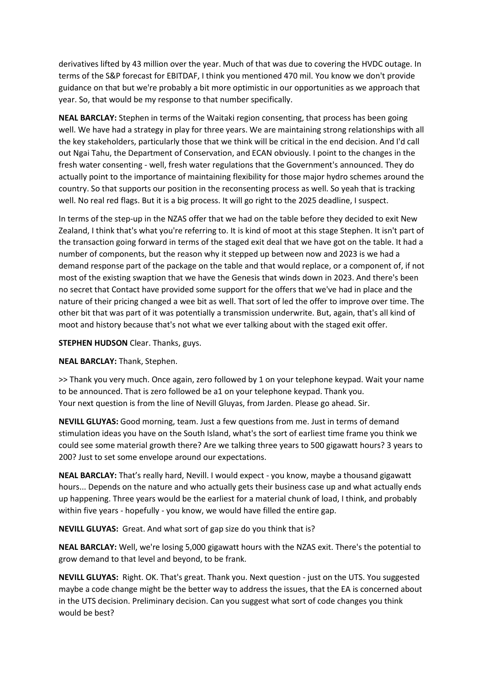derivatives lifted by 43 million over the year. Much of that was due to covering the HVDC outage. In terms of the S&P forecast for EBITDAF, I think you mentioned 470 mil. You know we don't provide guidance on that but we're probably a bit more optimistic in our opportunities as we approach that year. So, that would be my response to that number specifically.

**NEAL BARCLAY:** Stephen in terms of the Waitaki region consenting, that process has been going well. We have had a strategy in play for three years. We are maintaining strong relationships with all the key stakeholders, particularly those that we think will be critical in the end decision. And I'd call out Ngai Tahu, the Department of Conservation, and ECAN obviously. I point to the changes in the fresh water consenting - well, fresh water regulations that the Government's announced. They do actually point to the importance of maintaining flexibility for those major hydro schemes around the country. So that supports our position in the reconsenting process as well. So yeah that is tracking well. No real red flags. But it is a big process. It will go right to the 2025 deadline, I suspect.

In terms of the step-up in the NZAS offer that we had on the table before they decided to exit New Zealand, I think that's what you're referring to. It is kind of moot at this stage Stephen. It isn't part of the transaction going forward in terms of the staged exit deal that we have got on the table. It had a number of components, but the reason why it stepped up between now and 2023 is we had a demand response part of the package on the table and that would replace, or a component of, if not most of the existing swaption that we have the Genesis that winds down in 2023. And there's been no secret that Contact have provided some support for the offers that we've had in place and the nature of their pricing changed a wee bit as well. That sort of led the offer to improve over time. The other bit that was part of it was potentially a transmission underwrite. But, again, that's all kind of moot and history because that's not what we ever talking about with the staged exit offer.

### **STEPHEN HUDSON** Clear. Thanks, guys.

#### **NEAL BARCLAY:** Thank, Stephen.

>> Thank you very much. Once again, zero followed by 1 on your telephone keypad. Wait your name to be announced. That is zero followed be a1 on your telephone keypad. Thank you. Your next question is from the line of Nevill Gluyas, from Jarden. Please go ahead. Sir.

**NEVILL GLUYAS:** Good morning, team. Just a few questions from me. Just in terms of demand stimulation ideas you have on the South Island, what's the sort of earliest time frame you think we could see some material growth there? Are we talking three years to 500 gigawatt hours? 3 years to 200? Just to set some envelope around our expectations.

**NEAL BARCLAY:** That's really hard, Nevill. I would expect - you know, maybe a thousand gigawatt hours... Depends on the nature and who actually gets their business case up and what actually ends up happening. Three years would be the earliest for a material chunk of load, I think, and probably within five years - hopefully - you know, we would have filled the entire gap.

**NEVILL GLUYAS:** Great. And what sort of gap size do you think that is?

**NEAL BARCLAY:** Well, we're losing 5,000 gigawatt hours with the NZAS exit. There's the potential to grow demand to that level and beyond, to be frank.

**NEVILL GLUYAS:** Right. OK. That's great. Thank you. Next question - just on the UTS. You suggested maybe a code change might be the better way to address the issues, that the EA is concerned about in the UTS decision. Preliminary decision. Can you suggest what sort of code changes you think would be best?